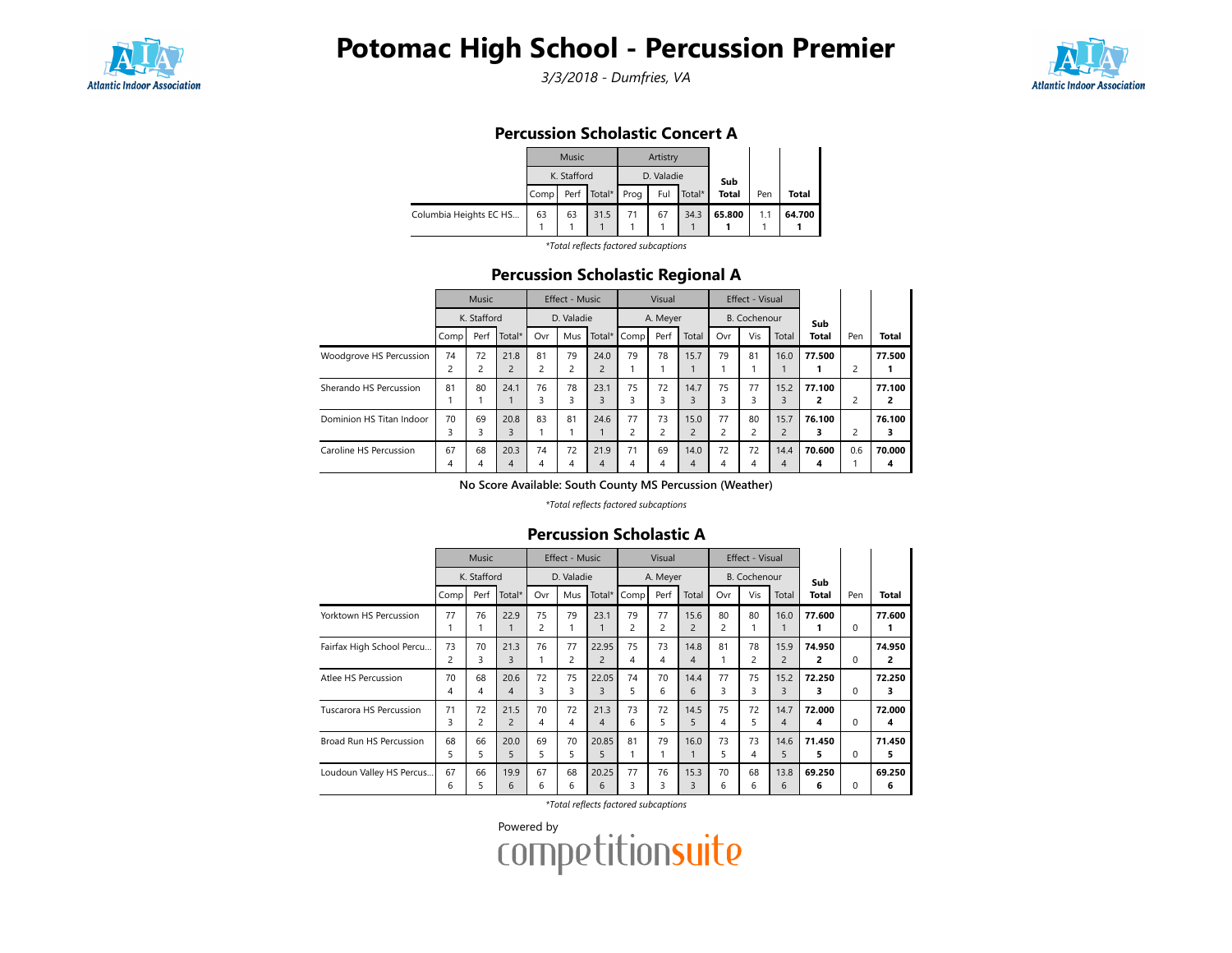

# Potomac High School - Percussion Premier

3/3/2018 - Dumfries, VA



## Percussion Scholastic Concert A

|                        |      | <b>Music</b> |             |      | Artistry   |        |              |     |        |
|------------------------|------|--------------|-------------|------|------------|--------|--------------|-----|--------|
|                        |      | K. Stafford  |             |      | D. Valadie |        | Sub          |     |        |
|                        | Comp |              | Perf Total* | Prog | Ful        | Total* | <b>Total</b> | Pen | Total  |
| Columbia Heights EC HS | 63   | 63           | 31.5        | 71   | 67         | 34.3   | 65.800       | 1.1 | 64.700 |

\*Total reflects factored subcaptions

### Percussion Scholastic Regional A

|                          |                               | Music       |                        |         | Effect - Music |                        |                      | Visual   |                        |                      | Effect - Visual      |                        |             |     |              |
|--------------------------|-------------------------------|-------------|------------------------|---------|----------------|------------------------|----------------------|----------|------------------------|----------------------|----------------------|------------------------|-------------|-----|--------------|
|                          |                               | K. Stafford |                        |         | D. Valadie     |                        |                      | A. Meyer |                        |                      | <b>B.</b> Cochenour  |                        | Sub         |     |              |
|                          | Comp                          | Perf        | Total*                 | Ovr     | Mus            | Total*                 | Comp                 | Perf     | Total                  | Ovr                  | Vis                  | Total                  | Total       | Pen | <b>Total</b> |
| Woodgrove HS Percussion  | 74<br>$\overline{\mathbf{c}}$ | 72<br>2     | 21.8<br>$\overline{2}$ | 81<br>2 | 79             | 24.0<br>$\overline{2}$ | 79                   | 78       | 15.7                   | 79                   | 81                   | 16.0                   | 77.500      | 2   | 77.500       |
| Sherando HS Percussion   | 81                            | 80          | 24.1                   | 76<br>3 | 78<br>3        | 23.1<br>3              | 75<br>3              | 72<br>3  | 14.7<br>3              | 75<br>3              | 77<br>3              | 15.2<br>3              | 77.100<br>2 | 2   | 77.100<br>2  |
| Dominion HS Titan Indoor | 70<br>3                       | 69<br>3     | 20.8<br>3              | 83      | 81             | 24.6                   | 77<br>$\overline{c}$ | 73       | 15.0<br>$\overline{2}$ | 77<br>$\overline{2}$ | 80<br>$\overline{c}$ | 15.7<br>$\overline{2}$ | 76.100<br>3 | 2   | 76.100<br>3  |
| Caroline HS Percussion   | 67<br>4                       | 68<br>4     | 20.3<br>4              | 74<br>4 | 72<br>4        | 21.9<br>4              | 71<br>4              | 69<br>4  | 14.0<br>$\overline{4}$ | 72<br>4              | 72<br>4              | 14.4<br>4              | 70.600<br>4 | 0.6 | 70.000<br>4  |

No Score Available: South County MS Percussion (Weather)

\*Total reflects factored subcaptions

|                           | <b>Music</b> |             |                        | <b>Effect - Music</b> |                      |                         | Visual  |          |                        |                      | Effect - Visual      |                        |              |          |             |
|---------------------------|--------------|-------------|------------------------|-----------------------|----------------------|-------------------------|---------|----------|------------------------|----------------------|----------------------|------------------------|--------------|----------|-------------|
|                           |              | K. Stafford |                        |                       | D. Valadie           |                         |         | A. Meyer |                        |                      | B. Cochenour         |                        | Sub          |          |             |
|                           | Comp         | Perf        | Total*                 | Ovr                   | Mus                  | Total*                  | Comp    | Perf     | Total                  | Ovr                  | Vis                  | Total                  | <b>Total</b> | Pen      | Total       |
| Yorktown HS Percussion    | 77<br>1      | 76          | 22.9                   | 75<br>2               | 79                   | 23.1                    | 79<br>2 | 77<br>2  | 15.6<br>$\overline{c}$ | 80<br>$\overline{2}$ | 80                   | 16.0                   | 77.600<br>1  | 0        | 77.600<br>1 |
| Fairfax High School Percu | 73<br>2      | 70<br>3     | 21.3<br>3              | 76                    | 77<br>$\overline{c}$ | 22.95<br>$\overline{2}$ | 75<br>4 | 73<br>4  | 14.8<br>4              | 81                   | 78<br>$\overline{2}$ | 15.9<br>$\overline{2}$ | 74.950<br>2  | 0        | 74.950<br>2 |
| Atlee HS Percussion       | 70<br>4      | 68<br>4     | 20.6<br>$\overline{4}$ | 72<br>3               | 75<br>3              | 22.05<br>3              | 74<br>5 | 70<br>6  | 14.4<br>6              | 77<br>3              | 75<br>3              | 15.2<br>3              | 72.250<br>3  | $\Omega$ | 72.250<br>3 |
| Tuscarora HS Percussion   | 71<br>3      | 72<br>2     | 21.5<br>$\overline{c}$ | 70<br>4               | 72<br>4              | 21.3<br>$\overline{4}$  | 73<br>6 | 72<br>5  | 14.5<br>5              | 75<br>4              | 72<br>5.             | 14.7<br>4              | 72.000<br>4  | 0        | 72.000<br>4 |
| Broad Run HS Percussion   | 68<br>5      | 66<br>5     | 20.0<br>5              | 69<br>5               | 70<br>5              | 20.85<br>5              | 81      | 79       | 16.0                   | 73<br>5              | 73<br>4              | 14.6<br>5              | 71.450<br>5  | 0        | 71.450<br>5 |
| Loudoun Valley HS Percus  | 67<br>6      | 66<br>5     | 19.9<br>6              | 67<br>6               | 68<br>6              | 20.25<br>6              | 77<br>3 | 76<br>3  | 15.3<br>3              | 70<br>6              | 68<br>6              | 13.8<br>6              | 69.250<br>6  | 0        | 69.250<br>6 |

#### Percussion Scholastic A

\*Total reflects factored subcaptions